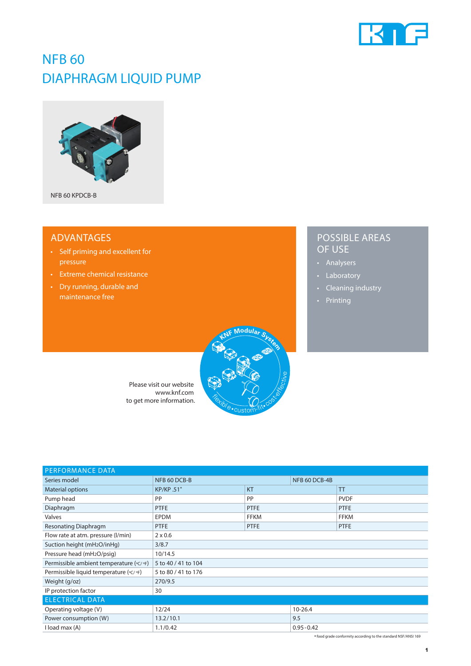

## NFB 60 DIAPHRAGM LIQUID PUMP



#### ADVANTAGES

- Self priming and excellent for pressure
- Extreme chemical resistance
- Dry running, durable and maintenance free

### POSSIBLE AREAS OF USE

- Analysers
- Laboratory
- Cleaning industry
- Printing



Please visit our website www.knf.com to get more information.

| <b>PERFORMANCE DATA</b>                 |                     |             |               |             |  |
|-----------------------------------------|---------------------|-------------|---------------|-------------|--|
| Series model                            | NFB 60 DCB-B        |             | NFB 60 DCB-4B |             |  |
| <b>Material options</b>                 | <b>KP/KP.51*</b>    | <b>KT</b>   |               | TT          |  |
| Pump head                               | PP                  | PP          |               | <b>PVDF</b> |  |
| Diaphragm                               | <b>PTFE</b>         | <b>PTFE</b> |               | <b>PTFE</b> |  |
| Valves                                  | <b>EPDM</b>         | <b>FFKM</b> |               | <b>FFKM</b> |  |
| <b>Resonating Diaphragm</b>             | <b>PTFE</b>         | <b>PTFE</b> |               | <b>PTFE</b> |  |
| Flow rate at atm. pressure (I/min)      | $2 \times 0.6$      |             |               |             |  |
| Suction height (mH <sub>2</sub> O/inHg) | 3/8.7               |             |               |             |  |
| Pressure head (mH2O/psig)               | 10/14.5             |             |               |             |  |
| Permissible ambient temperature (°C/°F) | 5 to 40 / 41 to 104 |             |               |             |  |
| Permissible liquid temperature (°C/°F)  | 5 to 80 / 41 to 176 |             |               |             |  |
| Weight (g/oz)                           | 270/9.5             |             |               |             |  |
| IP protection factor                    | 30                  |             |               |             |  |
| <b>ELECTRICAL DATA</b>                  |                     |             |               |             |  |
| Operating voltage (V)                   | 12/24               |             | $10 - 26.4$   |             |  |
| Power consumption (W)                   | 13.2/10.1           |             | 9.5           |             |  |
| I load max (A)                          | 1.1/0.42            |             | $0.95 - 0.42$ |             |  |

\* food grade conformity according to the standard NSF/ANSI 169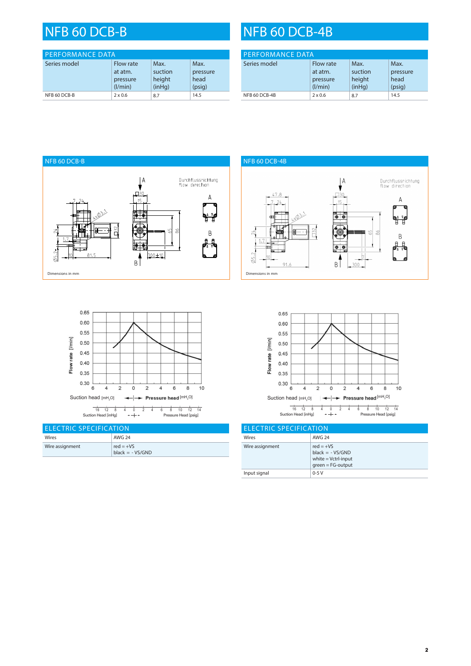| <b>PERFORMANCE DATA</b> |                                             |                                     |                                    |
|-------------------------|---------------------------------------------|-------------------------------------|------------------------------------|
| Series model            | Flow rate<br>at atm.<br>pressure<br>(1/min) | Max.<br>suction<br>height<br>(inHq) | Max.<br>pressure<br>head<br>(psig) |
| NFB 60 DCB-B            | $2 \times 0.6$                              | 8.7                                 | 14.5                               |

# NFB 60 DCB-B NFB 60 DCB-4B

| <b>PERFORMANCE DATA</b> |                                             |                                     |                                    |
|-------------------------|---------------------------------------------|-------------------------------------|------------------------------------|
| Series model            | Flow rate<br>at atm.<br>pressure<br>(1/min) | Max.<br>suction<br>height<br>(inHq) | Max.<br>pressure<br>head<br>(psig) |
| NFB 60 DCB-4B           | $2 \times 0.6$                              | 8.7                                 | 14.5                               |





| <b>ELECTRIC SPECIFICATION</b> |                                  |  |
|-------------------------------|----------------------------------|--|
| Wires                         | AWG 24                           |  |
| Wire assignment               | $red = +VS$<br>$black = -VS/GND$ |  |





| <b>LELECTRIC SPECIFICATION</b> |                                                                                   |  |  |
|--------------------------------|-----------------------------------------------------------------------------------|--|--|
| Wires                          | <b>AWG 24</b>                                                                     |  |  |
| Wire assignment                | $red = +VS$<br>$black = -VS/GND$<br>white $=$ Vctrl-input<br>$green = FG$ -output |  |  |
| Input signal                   | $0-5V$                                                                            |  |  |